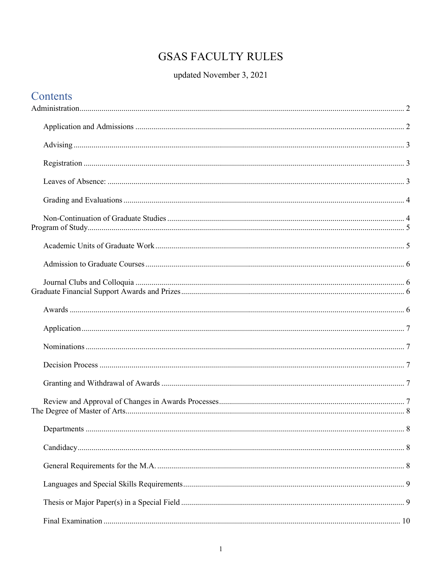# **GSAS FACULTY RULES**

## updated November 3, 2021

| Contents |  |
|----------|--|
|          |  |
|          |  |
|          |  |
|          |  |
|          |  |
|          |  |
|          |  |
|          |  |
|          |  |
|          |  |
|          |  |
|          |  |
|          |  |
|          |  |
|          |  |
|          |  |
|          |  |
|          |  |
|          |  |
|          |  |
|          |  |
|          |  |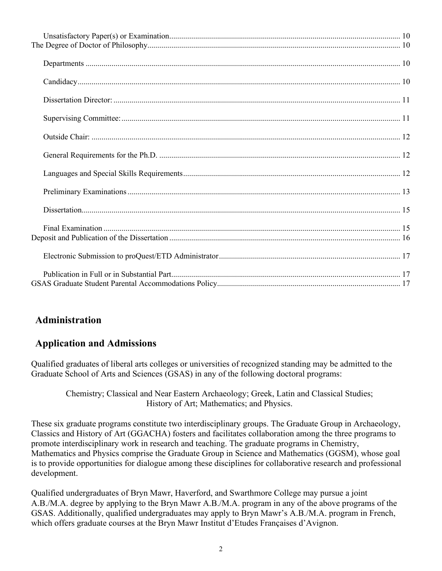## <span id="page-1-0"></span>**Administration**

#### <span id="page-1-1"></span>**Application and Admissions**

Qualified graduates of liberal arts colleges or universities of recognized standing may be admitted to the Graduate School of Arts and Sciences (GSAS) in any of the following doctoral programs:

Chemistry; Classical and Near Eastern Archaeology; Greek, Latin and Classical Studies; History of Art; Mathematics; and Physics.

These six graduate programs constitute two interdisciplinary groups. The Graduate Group in Archaeology, Classics and History of Art (GGACHA) fosters and facilitates collaboration among the three programs to promote interdisciplinary work in research and teaching. The graduate programs in Chemistry, Mathematics and Physics comprise the Graduate Group in Science and Mathematics (GGSM), whose goal is to provide opportunities for dialogue among these disciplines for collaborative research and professional development.

Qualified undergraduates of Bryn Mawr, Haverford, and Swarthmore College may pursue a joint A.B./M.A. degree by applying to the Bryn Mawr A.B./M.A. program in any of the above programs of the GSAS. Additionally, qualified undergraduates may apply to Bryn Mawr's A.B./M.A. program in French, which offers graduate courses at the Bryn Mawr Institut d'Etudes Françaises d'Avignon.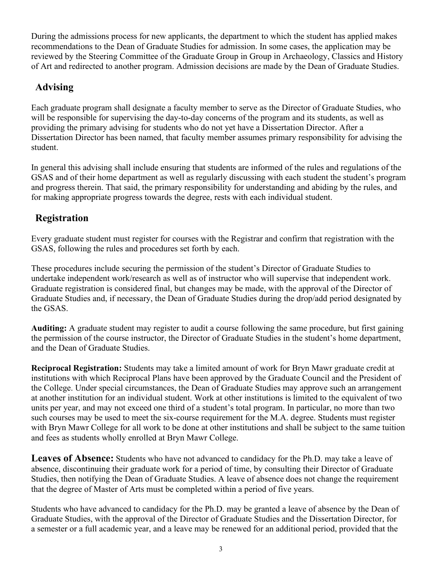During the admissions process for new applicants, the department to which the student has applied makes recommendations to the Dean of Graduate Studies for admission. In some cases, the application may be reviewed by the Steering Committee of the Graduate Group in Group in Archaeology, Classics and History of Art and redirected to another program. Admission decisions are made by the Dean of Graduate Studies.

#### <span id="page-2-0"></span>**Advising**

Each graduate program shall designate a faculty member to serve as the Director of Graduate Studies, who will be responsible for supervising the day-to-day concerns of the program and its students, as well as providing the primary advising for students who do not yet have a Dissertation Director. After a Dissertation Director has been named, that faculty member assumes primary responsibility for advising the student.

In general this advising shall include ensuring that students are informed of the rules and regulations of the GSAS and of their home department as well as regularly discussing with each student the student's program and progress therein. That said, the primary responsibility for understanding and abiding by the rules, and for making appropriate progress towards the degree, rests with each individual student.

#### <span id="page-2-1"></span>**Registration**

Every graduate student must register for courses with the Registrar and confirm that registration with the GSAS, following the rules and procedures set forth by each.

These procedures include securing the permission of the student's Director of Graduate Studies to undertake independent work/research as well as of instructor who will supervise that independent work. Graduate registration is considered final, but changes may be made, with the approval of the Director of Graduate Studies and, if necessary, the Dean of Graduate Studies during the drop/add period designated by the GSAS.

**Auditing:** A graduate student may register to audit a course following the same procedure, but first gaining the permission of the course instructor, the Director of Graduate Studies in the student's home department, and the Dean of Graduate Studies.

**Reciprocal Registration:** Students may take a limited amount of work for Bryn Mawr graduate credit at institutions with which Reciprocal Plans have been approved by the Graduate Council and the President of the College. Under special circumstances, the Dean of Graduate Studies may approve such an arrangement at another institution for an individual student. Work at other institutions is limited to the equivalent of two units per year, and may not exceed one third of a student's total program. In particular, no more than two such courses may be used to meet the six-course requirement for the M.A. degree. Students must register with Bryn Mawr College for all work to be done at other institutions and shall be subject to the same tuition and fees as students wholly enrolled at Bryn Mawr College.

<span id="page-2-2"></span>**Leaves of Absence:** Students who have not advanced to candidacy for the Ph.D. may take a leave of absence, discontinuing their graduate work for a period of time, by consulting their Director of Graduate Studies, then notifying the Dean of Graduate Studies. A leave of absence does not change the requirement that the degree of Master of Arts must be completed within a period of five years.

Students who have advanced to candidacy for the Ph.D. may be granted a leave of absence by the Dean of Graduate Studies, with the approval of the Director of Graduate Studies and the Dissertation Director, for a semester or a full academic year, and a leave may be renewed for an additional period, provided that the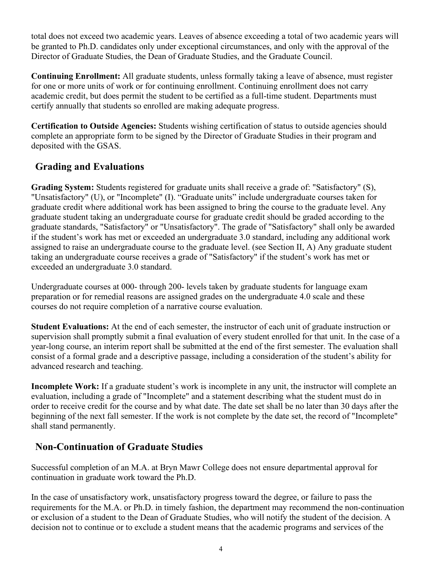total does not exceed two academic years. Leaves of absence exceeding a total of two academic years will be granted to Ph.D. candidates only under exceptional circumstances, and only with the approval of the Director of Graduate Studies, the Dean of Graduate Studies, and the Graduate Council.

**Continuing Enrollment:** All graduate students, unless formally taking a leave of absence, must register for one or more units of work or for continuing enrollment. Continuing enrollment does not carry academic credit, but does permit the student to be certified as a full-time student. Departments must certify annually that students so enrolled are making adequate progress.

**Certification to Outside Agencies:** Students wishing certification of status to outside agencies should complete an appropriate form to be signed by the Director of Graduate Studies in their program and deposited with the GSAS.

## <span id="page-3-0"></span>**Grading and Evaluations**

**Grading System:** Students registered for graduate units shall receive a grade of: "Satisfactory" (S), "Unsatisfactory" (U), or "Incomplete" (I). "Graduate units" include undergraduate courses taken for graduate credit where additional work has been assigned to bring the course to the graduate level. Any graduate student taking an undergraduate course for graduate credit should be graded according to the graduate standards, "Satisfactory" or "Unsatisfactory". The grade of "Satisfactory" shall only be awarded if the student's work has met or exceeded an undergraduate 3.0 standard, including any additional work assigned to raise an undergraduate course to the graduate level. (see Section II, A) Any graduate student taking an undergraduate course receives a grade of "Satisfactory" if the student's work has met or exceeded an undergraduate 3.0 standard.

Undergraduate courses at 000- through 200- levels taken by graduate students for language exam preparation or for remedial reasons are assigned grades on the undergraduate 4.0 scale and these courses do not require completion of a narrative course evaluation.

**Student Evaluations:** At the end of each semester, the instructor of each unit of graduate instruction or supervision shall promptly submit a final evaluation of every student enrolled for that unit. In the case of a year-long course, an interim report shall be submitted at the end of the first semester. The evaluation shall consist of a formal grade and a descriptive passage, including a consideration of the student's ability for advanced research and teaching.

**Incomplete Work:** If a graduate student's work is incomplete in any unit, the instructor will complete an evaluation, including a grade of "Incomplete" and a statement describing what the student must do in order to receive credit for the course and by what date. The date set shall be no later than 30 days after the beginning of the next fall semester. If the work is not complete by the date set, the record of "Incomplete" shall stand permanently.

## <span id="page-3-1"></span>**Non-Continuation of Graduate Studies**

Successful completion of an M.A. at Bryn Mawr College does not ensure departmental approval for continuation in graduate work toward the Ph.D.

In the case of unsatisfactory work, unsatisfactory progress toward the degree, or failure to pass the requirements for the M.A. or Ph.D. in timely fashion, the department may recommend the non-continuation or exclusion of a student to the Dean of Graduate Studies, who will notify the student of the decision. A decision not to continue or to exclude a student means that the academic programs and services of the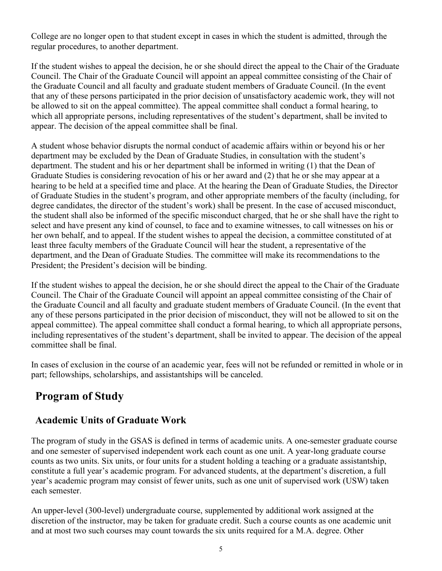College are no longer open to that student except in cases in which the student is admitted, through the regular procedures, to another department.

If the student wishes to appeal the decision, he or she should direct the appeal to the Chair of the Graduate Council. The Chair of the Graduate Council will appoint an appeal committee consisting of the Chair of the Graduate Council and all faculty and graduate student members of Graduate Council. (In the event that any of these persons participated in the prior decision of unsatisfactory academic work, they will not be allowed to sit on the appeal committee). The appeal committee shall conduct a formal hearing, to which all appropriate persons, including representatives of the student's department, shall be invited to appear. The decision of the appeal committee shall be final.

A student whose behavior disrupts the normal conduct of academic affairs within or beyond his or her department may be excluded by the Dean of Graduate Studies, in consultation with the student's department. The student and his or her department shall be informed in writing (1) that the Dean of Graduate Studies is considering revocation of his or her award and (2) that he or she may appear at a hearing to be held at a specified time and place. At the hearing the Dean of Graduate Studies, the Director of Graduate Studies in the student's program, and other appropriate members of the faculty (including, for degree candidates, the director of the student's work) shall be present. In the case of accused misconduct, the student shall also be informed of the specific misconduct charged, that he or she shall have the right to select and have present any kind of counsel, to face and to examine witnesses, to call witnesses on his or her own behalf, and to appeal. If the student wishes to appeal the decision, a committee constituted of at least three faculty members of the Graduate Council will hear the student, a representative of the department, and the Dean of Graduate Studies. The committee will make its recommendations to the President; the President's decision will be binding.

If the student wishes to appeal the decision, he or she should direct the appeal to the Chair of the Graduate Council. The Chair of the Graduate Council will appoint an appeal committee consisting of the Chair of the Graduate Council and all faculty and graduate student members of Graduate Council. (In the event that any of these persons participated in the prior decision of misconduct, they will not be allowed to sit on the appeal committee). The appeal committee shall conduct a formal hearing, to which all appropriate persons, including representatives of the student's department, shall be invited to appear. The decision of the appeal committee shall be final.

In cases of exclusion in the course of an academic year, fees will not be refunded or remitted in whole or in part; fellowships, scholarships, and assistantships will be canceled.

# <span id="page-4-0"></span>**Program of Study**

## <span id="page-4-1"></span>**Academic Units of Graduate Work**

The program of study in the GSAS is defined in terms of academic units. A one-semester graduate course and one semester of supervised independent work each count as one unit. A year-long graduate course counts as two units. Six units, or four units for a student holding a teaching or a graduate assistantship, constitute a full year's academic program. For advanced students, at the department's discretion, a full year's academic program may consist of fewer units, such as one unit of supervised work (USW) taken each semester.

An upper-level (300-level) undergraduate course, supplemented by additional work assigned at the discretion of the instructor, may be taken for graduate credit. Such a course counts as one academic unit and at most two such courses may count towards the six units required for a M.A. degree. Other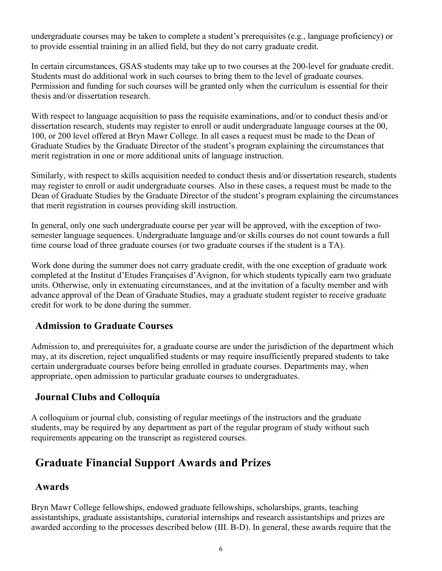undergraduate courses may be taken to complete a student's prerequisites (e.g., language proficiency) or to provide essential training in an allied field, but they do not carry graduate credit.

In certain circumstances, GSAS students may take up to two courses at the 200-level for graduate credit. Students must do additional work in such courses to bring them to the level of graduate courses. Permission and funding for such courses will be granted only when the curriculum is essential for their thesis and/or dissertation research.

With respect to language acquisition to pass the requisite examinations, and/or to conduct thesis and/or dissertation research, students may register to enroll or audit undergraduate language courses at the 00, 100, or 200 level offered at Bryn Mawr College. In all cases a request must be made to the Dean of Graduate Studies by the Graduate Director of the student's program explaining the circumstances that merit registration in one or more additional units of language instruction.

Similarly, with respect to skills acquisition needed to conduct thesis and/or dissertation research, students may register to enroll or audit undergraduate courses. Also in these cases, a request must be made to the Dean of Graduate Studies by the Graduate Director of the student's program explaining the circumstances that merit registration in courses providing skill instruction.

In general, only one such undergraduate course per year will be approved, with the exception of twosemester language sequences. Undergraduate language and/or skills courses do not count towards a full time course load of three graduate courses (or two graduate courses if the student is a TA).

Work done during the summer does not carry graduate credit, with the one exception of graduate work completed at the Institut d'Etudes Françaises d'Avignon, for which students typically earn two graduate units. Otherwise, only in extenuating circumstances, and at the invitation of a faculty member and with advance approval of the Dean of Graduate Studies, may a graduate student register to receive graduate credit for work to be done during the summer.

## <span id="page-5-0"></span>**Admission to Graduate Courses**

Admission to, and prerequisites for, a graduate course are under the jurisdiction of the department which may, at its discretion, reject unqualified students or may require insufficiently prepared students to take certain undergraduate courses before being enrolled in graduate courses. Departments may, when appropriate, open admission to particular graduate courses to undergraduates.

## <span id="page-5-1"></span>**Journal Clubs and Colloquia**

A colloquium or journal club, consisting of regular meetings of the instructors and the graduate students, may be required by any department as part of the regular program of study without such requirements appearing on the transcript as registered courses.

# <span id="page-5-2"></span>**Graduate Financial Support Awards and Prizes**

## <span id="page-5-3"></span>**Awards**

Bryn Mawr College fellowships, endowed graduate fellowships, scholarships, grants, teaching assistantships, graduate assistantships, curatorial internships and research assistantships and prizes are awarded according to the processes described below (III. B-D). In general, these awards require that the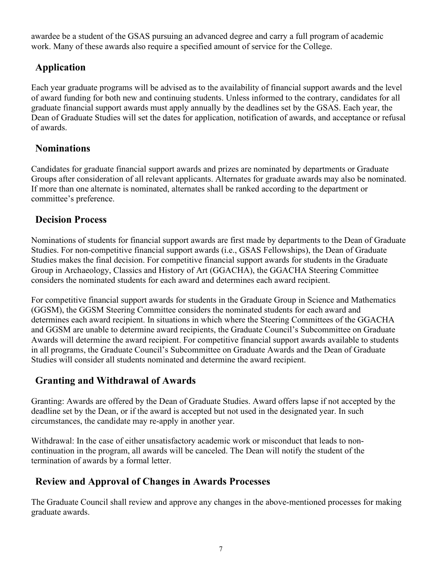awardee be a student of the GSAS pursuing an advanced degree and carry a full program of academic work. Many of these awards also require a specified amount of service for the College.

## <span id="page-6-0"></span>**Application**

Each year graduate programs will be advised as to the availability of financial support awards and the level of award funding for both new and continuing students. Unless informed to the contrary, candidates for all graduate financial support awards must apply annually by the deadlines set by the GSAS. Each year, the Dean of Graduate Studies will set the dates for application, notification of awards, and acceptance or refusal of awards.

## <span id="page-6-1"></span>**Nominations**

Candidates for graduate financial support awards and prizes are nominated by departments or Graduate Groups after consideration of all relevant applicants. Alternates for graduate awards may also be nominated. If more than one alternate is nominated, alternates shall be ranked according to the department or committee's preference.

## <span id="page-6-2"></span>**Decision Process**

Nominations of students for financial support awards are first made by departments to the Dean of Graduate Studies. For non-competitive financial support awards (i.e., GSAS Fellowships), the Dean of Graduate Studies makes the final decision. For competitive financial support awards for students in the Graduate Group in Archaeology, Classics and History of Art (GGACHA), the GGACHA Steering Committee considers the nominated students for each award and determines each award recipient.

For competitive financial support awards for students in the Graduate Group in Science and Mathematics (GGSM), the GGSM Steering Committee considers the nominated students for each award and determines each award recipient. In situations in which where the Steering Committees of the GGACHA and GGSM are unable to determine award recipients, the Graduate Council's Subcommittee on Graduate Awards will determine the award recipient. For competitive financial support awards available to students in all programs, the Graduate Council's Subcommittee on Graduate Awards and the Dean of Graduate Studies will consider all students nominated and determine the award recipient.

#### <span id="page-6-3"></span>**Granting and Withdrawal of Awards**

Granting: Awards are offered by the Dean of Graduate Studies. Award offers lapse if not accepted by the deadline set by the Dean, or if the award is accepted but not used in the designated year. In such circumstances, the candidate may re-apply in another year.

Withdrawal: In the case of either unsatisfactory academic work or misconduct that leads to noncontinuation in the program, all awards will be canceled. The Dean will notify the student of the termination of awards by a formal letter.

## <span id="page-6-4"></span>**Review and Approval of Changes in Awards Processes**

The Graduate Council shall review and approve any changes in the above-mentioned processes for making graduate awards.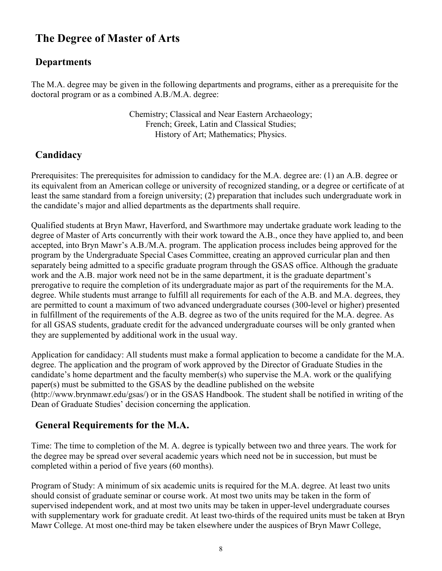# <span id="page-7-0"></span>**The Degree of Master of Arts**

## <span id="page-7-1"></span>**Departments**

The M.A. degree may be given in the following departments and programs, either as a prerequisite for the doctoral program or as a combined A.B./M.A. degree:

> Chemistry; Classical and Near Eastern Archaeology; French; Greek, Latin and Classical Studies; History of Art; Mathematics; Physics.

## <span id="page-7-2"></span>**Candidacy**

Prerequisites: The prerequisites for admission to candidacy for the M.A. degree are: (1) an A.B. degree or its equivalent from an American college or university of recognized standing, or a degree or certificate of at least the same standard from a foreign university; (2) preparation that includes such undergraduate work in the candidate's major and allied departments as the departments shall require.

Qualified students at Bryn Mawr, Haverford, and Swarthmore may undertake graduate work leading to the degree of Master of Arts concurrently with their work toward the A.B., once they have applied to, and been accepted, into Bryn Mawr's A.B./M.A. program. The application process includes being approved for the program by the Undergraduate Special Cases Committee, creating an approved curricular plan and then separately being admitted to a specific graduate program through the GSAS office. Although the graduate work and the A.B. major work need not be in the same department, it is the graduate department's prerogative to require the completion of its undergraduate major as part of the requirements for the M.A. degree. While students must arrange to fulfill all requirements for each of the A.B. and M.A. degrees, they are permitted to count a maximum of two advanced undergraduate courses (300-level or higher) presented in fulfillment of the requirements of the A.B. degree as two of the units required for the M.A. degree. As for all GSAS students, graduate credit for the advanced undergraduate courses will be only granted when they are supplemented by additional work in the usual way.

Application for candidacy: All students must make a formal application to become a candidate for the M.A. degree. The application and the program of work approved by the Director of Graduate Studies in the candidate's home department and the faculty member(s) who supervise the M.A. work or the qualifying paper(s) must be submitted to the GSAS by the deadline published on the website [\(http://www.brynmawr.edu/gsas/\) o](http://www.brynmawr.edu/gsas/))r in the GSAS Handbook. The student shall be notified in writing of the Dean of Graduate Studies' decision concerning the application.

## <span id="page-7-3"></span>**General Requirements for the M.A.**

Time: The time to completion of the M. A. degree is typically between two and three years. The work for the degree may be spread over several academic years which need not be in succession, but must be completed within a period of five years (60 months).

Program of Study: A minimum of six academic units is required for the M.A. degree. At least two units should consist of graduate seminar or course work. At most two units may be taken in the form of supervised independent work, and at most two units may be taken in upper-level undergraduate courses with supplementary work for graduate credit. At least two-thirds of the required units must be taken at Bryn Mawr College. At most one-third may be taken elsewhere under the auspices of Bryn Mawr College,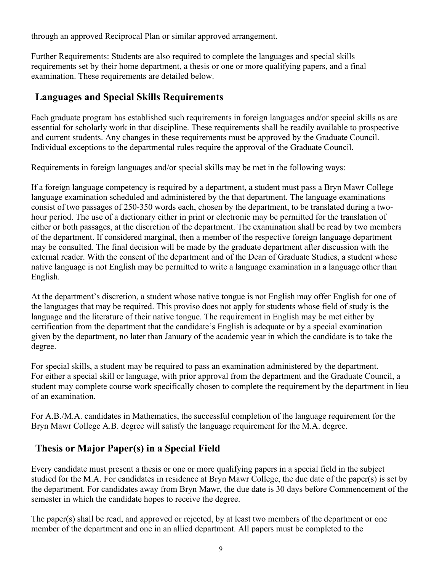through an approved Reciprocal Plan or similar approved arrangement.

Further Requirements: Students are also required to complete the languages and special skills requirements set by their home department, a thesis or one or more qualifying papers, and a final examination. These requirements are detailed below.

## <span id="page-8-0"></span>**Languages and Special Skills Requirements**

Each graduate program has established such requirements in foreign languages and/or special skills as are essential for scholarly work in that discipline. These requirements shall be readily available to prospective and current students. Any changes in these requirements must be approved by the Graduate Council. Individual exceptions to the departmental rules require the approval of the Graduate Council.

Requirements in foreign languages and/or special skills may be met in the following ways:

If a foreign language competency is required by a department, a student must pass a Bryn Mawr College language examination scheduled and administered by the that department. The language examinations consist of two passages of 250-350 words each, chosen by the department, to be translated during a twohour period. The use of a dictionary either in print or electronic may be permitted for the translation of either or both passages, at the discretion of the department. The examination shall be read by two members of the department. If considered marginal, then a member of the respective foreign language department may be consulted. The final decision will be made by the graduate department after discussion with the external reader. With the consent of the department and of the Dean of Graduate Studies, a student whose native language is not English may be permitted to write a language examination in a language other than English.

At the department's discretion, a student whose native tongue is not English may offer English for one of the languages that may be required. This proviso does not apply for students whose field of study is the language and the literature of their native tongue. The requirement in English may be met either by certification from the department that the candidate's English is adequate or by a special examination given by the department, no later than January of the academic year in which the candidate is to take the degree.

For special skills, a student may be required to pass an examination administered by the department. For either a special skill or language, with prior approval from the department and the Graduate Council, a student may complete course work specifically chosen to complete the requirement by the department in lieu of an examination.

For A.B./M.A. candidates in Mathematics, the successful completion of the language requirement for the Bryn Mawr College A.B. degree will satisfy the language requirement for the M.A. degree.

## <span id="page-8-1"></span>**Thesis or Major Paper(s) in a Special Field**

Every candidate must present a thesis or one or more qualifying papers in a special field in the subject studied for the M.A. For candidates in residence at Bryn Mawr College, the due date of the paper(s) is set by the department. For candidates away from Bryn Mawr, the due date is 30 days before Commencement of the semester in which the candidate hopes to receive the degree.

The paper(s) shall be read, and approved or rejected, by at least two members of the department or one member of the department and one in an allied department. All papers must be completed to the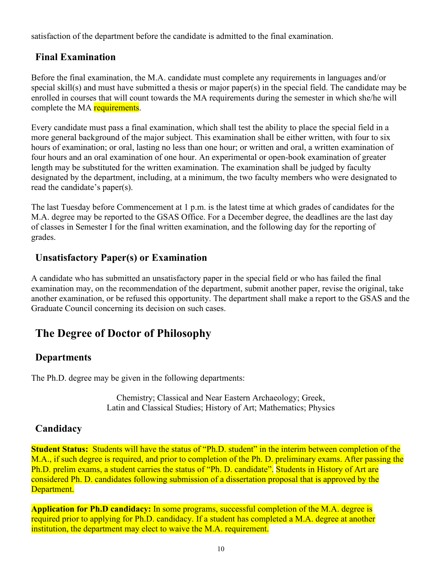satisfaction of the department before the candidate is admitted to the final examination.

#### <span id="page-9-0"></span>**Final Examination**

Before the final examination, the M.A. candidate must complete any requirements in languages and/or special skill(s) and must have submitted a thesis or major paper(s) in the special field. The candidate may be enrolled in courses that will count towards the MA requirements during the semester in which she/he will complete the MA requirements.

Every candidate must pass a final examination, which shall test the ability to place the special field in a more general background of the major subject. This examination shall be either written, with four to six hours of examination; or oral, lasting no less than one hour; or written and oral, a written examination of four hours and an oral examination of one hour. An experimental or open-book examination of greater length may be substituted for the written examination. The examination shall be judged by faculty designated by the department, including, at a minimum, the two faculty members who were designated to read the candidate's paper(s).

The last Tuesday before Commencement at 1 p.m. is the latest time at which grades of candidates for the M.A. degree may be reported to the GSAS Office. For a December degree, the deadlines are the last day of classes in Semester I for the final written examination, and the following day for the reporting of grades.

## <span id="page-9-1"></span>**Unsatisfactory Paper(s) or Examination**

A candidate who has submitted an unsatisfactory paper in the special field or who has failed the final examination may, on the recommendation of the department, submit another paper, revise the original, take another examination, or be refused this opportunity. The department shall make a report to the GSAS and the Graduate Council concerning its decision on such cases.

# <span id="page-9-2"></span>**The Degree of Doctor of Philosophy**

## <span id="page-9-3"></span>**Departments**

The Ph.D. degree may be given in the following departments:

Chemistry; Classical and Near Eastern Archaeology; Greek, Latin and Classical Studies; History of Art; Mathematics; Physics

## <span id="page-9-4"></span>**Candidacy**

**Student Status:** Students will have the status of "Ph.D. student" in the interim between completion of the M.A., if such degree is required, and prior to completion of the Ph. D. preliminary exams. After passing the Ph.D. prelim exams, a student carries the status of "Ph. D. candidate". Students in History of Art are considered Ph. D. candidates following submission of a dissertation proposal that is approved by the Department.

**Application for Ph.D candidacy:** In some programs, successful completion of the M.A. degree is required prior to applying for Ph.D. candidacy. If a student has completed a M.A. degree at another institution, the department may elect to waive the M.A. requirement.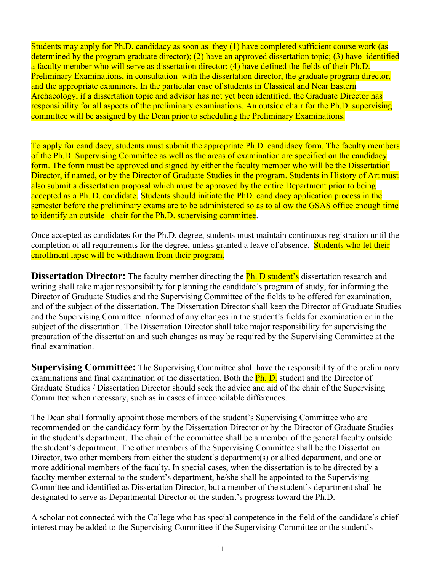Students may apply for Ph.D. candidacy as soon as they (1) have completed sufficient course work (as determined by the program graduate director); (2) have an approved dissertation topic; (3) have identified a faculty member who will serve as dissertation director; (4) have defined the fields of their Ph.D. Preliminary Examinations, in consultation with the dissertation director, the graduate program director, and the appropriate examiners. In the particular case of students in Classical and Near Eastern Archaeology, if a dissertation topic and advisor has not yet been identified, the Graduate Director has responsibility for all aspects of the preliminary examinations. An outside chair for the Ph.D. supervising committee will be assigned by the Dean prior to scheduling the Preliminary Examinations.

To apply for candidacy, students must submit the appropriate Ph.D. candidacy form. The faculty members of the Ph.D. Supervising Committee as well as the areas of examination are specified on the candidacy form. The form must be approved and signed by either the faculty member who will be the Dissertation Director, if named, or by the Director of Graduate Studies in the program. Students in History of Art must also submit a dissertation proposal which must be approved by the entire Department prior to being accepted as a Ph. D. candidate. Students should initiate the PhD. candidacy application process in the semester before the preliminary exams are to be administered so as to allow the GSAS office enough time to identify an outside chair for the Ph.D. supervising committee.

Once accepted as candidates for the Ph.D. degree, students must maintain continuous registration until the completion of all requirements for the degree, unless granted a leave of absence. Students who let their enrollment lapse will be withdrawn from their program.

<span id="page-10-0"></span>**Dissertation Director:** The faculty member directing the **Ph. D student's** dissertation research and writing shall take major responsibility for planning the candidate's program of study, for informing the Director of Graduate Studies and the Supervising Committee of the fields to be offered for examination, and of the subject of the dissertation. The Dissertation Director shall keep the Director of Graduate Studies and the Supervising Committee informed of any changes in the student's fields for examination or in the subject of the dissertation. The Dissertation Director shall take major responsibility for supervising the preparation of the dissertation and such changes as may be required by the Supervising Committee at the final examination.

<span id="page-10-1"></span>**Supervising Committee:** The Supervising Committee shall have the responsibility of the preliminary examinations and final examination of the dissertation. Both the **Ph. D.** student and the Director of Graduate Studies / Dissertation Director should seek the advice and aid of the chair of the Supervising Committee when necessary, such as in cases of irreconcilable differences.

The Dean shall formally appoint those members of the student's Supervising Committee who are recommended on the candidacy form by the Dissertation Director or by the Director of Graduate Studies in the student's department. The chair of the committee shall be a member of the general faculty outside the student's department. The other members of the Supervising Committee shall be the Dissertation Director, two other members from either the student's department(s) or allied department, and one or more additional members of the faculty. In special cases, when the dissertation is to be directed by a faculty member external to the student's department, he/she shall be appointed to the Supervising Committee and identified as Dissertation Director, but a member of the student's department shall be designated to serve as Departmental Director of the student's progress toward the Ph.D.

A scholar not connected with the College who has special competence in the field of the candidate's chief interest may be added to the Supervising Committee if the Supervising Committee or the student's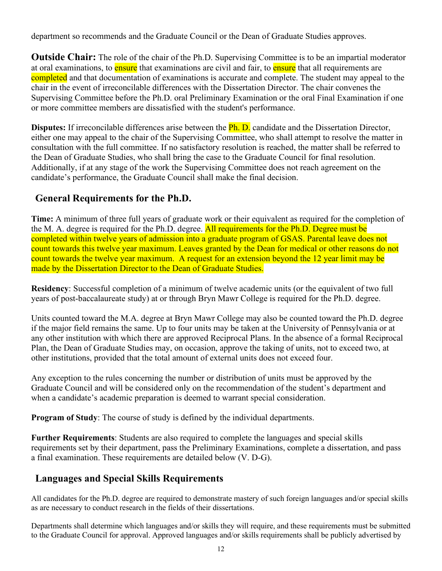department so recommends and the Graduate Council or the Dean of Graduate Studies approves.

<span id="page-11-0"></span>**Outside Chair:** The role of the chair of the Ph.D. Supervising Committee is to be an impartial moderator at oral examinations, to ensure that examinations are civil and fair, to ensure that all requirements are completed and that documentation of examinations is accurate and complete. The student may appeal to the chair in the event of irreconcilable differences with the Dissertation Director. The chair convenes the Supervising Committee before the Ph.D. oral Preliminary Examination or the oral Final Examination if one or more committee members are dissatisfied with the student's performance.

**Disputes:** If irreconcilable differences arise between the **Ph. D.** candidate and the Dissertation Director, either one may appeal to the chair of the Supervising Committee, who shall attempt to resolve the matter in consultation with the full committee. If no satisfactory resolution is reached, the matter shall be referred to the Dean of Graduate Studies, who shall bring the case to the Graduate Council for final resolution. Additionally, if at any stage of the work the Supervising Committee does not reach agreement on the candidate's performance, the Graduate Council shall make the final decision.

## <span id="page-11-1"></span>**General Requirements for the Ph.D.**

**Time:** A minimum of three full years of graduate work or their equivalent as required for the completion of the M. A. degree is required for the Ph.D. degree. All requirements for the Ph.D. Degree must be completed within twelve years of admission into a graduate program of GSAS. Parental leave does not count towards this twelve year maximum. Leaves granted by the Dean for medical or other reasons do not count towards the twelve year maximum. A request for an extension beyond the 12 year limit may be made by the Dissertation Director to the Dean of Graduate Studies.

**Residency**: Successful completion of a minimum of twelve academic units (or the equivalent of two full years of post-baccalaureate study) at or through Bryn Mawr College is required for the Ph.D. degree.

Units counted toward the M.A. degree at Bryn Mawr College may also be counted toward the Ph.D. degree if the major field remains the same. Up to four units may be taken at the University of Pennsylvania or at any other institution with which there are approved Reciprocal Plans. In the absence of a formal Reciprocal Plan, the Dean of Graduate Studies may, on occasion, approve the taking of units, not to exceed two, at other institutions, provided that the total amount of external units does not exceed four.

Any exception to the rules concerning the number or distribution of units must be approved by the Graduate Council and will be considered only on the recommendation of the student's department and when a candidate's academic preparation is deemed to warrant special consideration.

**Program of Study**: The course of study is defined by the individual departments.

**Further Requirements**: Students are also required to complete the languages and special skills requirements set by their department, pass the Preliminary Examinations, complete a dissertation, and pass a final examination. These requirements are detailed below (V. D-G).

## <span id="page-11-2"></span>**Languages and Special Skills Requirements**

All candidates for the Ph.D. degree are required to demonstrate mastery of such foreign languages and/or special skills as are necessary to conduct research in the fields of their dissertations.

Departments shall determine which languages and/or skills they will require, and these requirements must be submitted to the Graduate Council for approval. Approved languages and/or skills requirements shall be publicly advertised by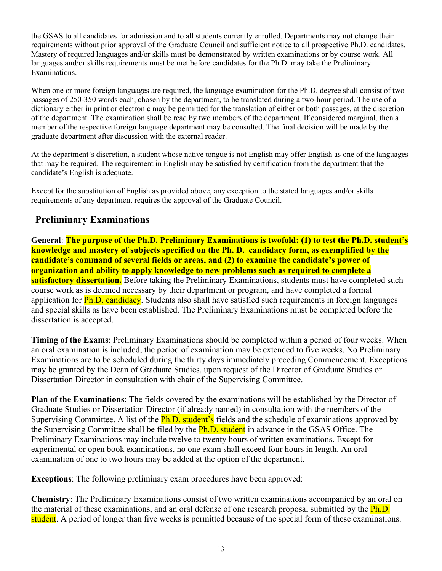the GSAS to all candidates for admission and to all students currently enrolled. Departments may not change their requirements without prior approval of the Graduate Council and sufficient notice to all prospective Ph.D. candidates. Mastery of required languages and/or skills must be demonstrated by written examinations or by course work. All languages and/or skills requirements must be met before candidates for the Ph.D. may take the Preliminary Examinations.

When one or more foreign languages are required, the language examination for the Ph.D. degree shall consist of two passages of 250-350 words each, chosen by the department, to be translated during a two-hour period. The use of a dictionary either in print or electronic may be permitted for the translation of either or both passages, at the discretion of the department. The examination shall be read by two members of the department. If considered marginal, then a member of the respective foreign language department may be consulted. The final decision will be made by the graduate department after discussion with the external reader.

At the department's discretion, a student whose native tongue is not English may offer English as one of the languages that may be required. The requirement in English may be satisfied by certification from the department that the candidate's English is adequate.

Except for the substitution of English as provided above, any exception to the stated languages and/or skills requirements of any department requires the approval of the Graduate Council.

#### <span id="page-12-0"></span>**Preliminary Examinations**

**General**: **The purpose of the Ph.D. Preliminary Examinations is twofold: (1) to test the Ph.D. student's knowledge and mastery of subjects specified on the Ph. D. candidacy form, as exemplified by the candidate's command of several fields or areas, and (2) to examine the candidate's power of organization and ability to apply knowledge to new problems such as required to complete a satisfactory dissertation.** Before taking the Preliminary Examinations, students must have completed such course work as is deemed necessary by their department or program, and have completed a formal application for **Ph.D. candidacy**. Students also shall have satisfied such requirements in foreign languages and special skills as have been established. The Preliminary Examinations must be completed before the dissertation is accepted.

**Timing of the Exams**: Preliminary Examinations should be completed within a period of four weeks. When an oral examination is included, the period of examination may be extended to five weeks. No Preliminary Examinations are to be scheduled during the thirty days immediately preceding Commencement. Exceptions may be granted by the Dean of Graduate Studies, upon request of the Director of Graduate Studies or Dissertation Director in consultation with chair of the Supervising Committee.

**Plan of the Examinations**: The fields covered by the examinations will be established by the Director of Graduate Studies or Dissertation Director (if already named) in consultation with the members of the Supervising Committee. A list of the **Ph.D. student's** fields and the schedule of examinations approved by the Supervising Committee shall be filed by the **Ph.D.** student in advance in the GSAS Office. The Preliminary Examinations may include twelve to twenty hours of written examinations. Except for experimental or open book examinations, no one exam shall exceed four hours in length. An oral examination of one to two hours may be added at the option of the department.

**Exceptions**: The following preliminary exam procedures have been approved:

**Chemistry**: The Preliminary Examinations consist of two written examinations accompanied by an oral on the material of these examinations, and an oral defense of one research proposal submitted by the **Ph.D.** student. A period of longer than five weeks is permitted because of the special form of these examinations.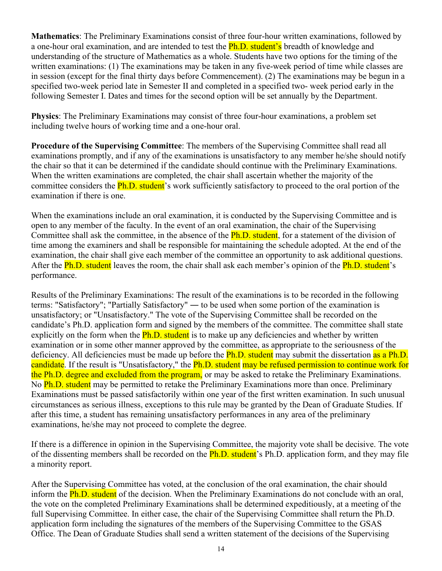**Mathematics**: The Preliminary Examinations consist of three four-hour written examinations, followed by a one-hour oral examination, and are intended to test the **Ph.D. student's** breadth of knowledge and understanding of the structure of Mathematics as a whole. Students have two options for the timing of the written examinations: (1) The examinations may be taken in any five-week period of time while classes are in session (except for the final thirty days before Commencement). (2) The examinations may be begun in a specified two-week period late in Semester II and completed in a specified two- week period early in the following Semester I. Dates and times for the second option will be set annually by the Department.

**Physics**: The Preliminary Examinations may consist of three four-hour examinations, a problem set including twelve hours of working time and a one-hour oral.

**Procedure of the Supervising Committee**: The members of the Supervising Committee shall read all examinations promptly, and if any of the examinations is unsatisfactory to any member he/she should notify the chair so that it can be determined if the candidate should continue with the Preliminary Examinations. When the written examinations are completed, the chair shall ascertain whether the majority of the committee considers the **Ph.D. student**'s work sufficiently satisfactory to proceed to the oral portion of the examination if there is one.

When the examinations include an oral examination, it is conducted by the Supervising Committee and is open to any member of the faculty. In the event of an oral examination, the chair of the Supervising Committee shall ask the committee, in the absence of the **Ph.D.** student, for a statement of the division of time among the examiners and shall be responsible for maintaining the schedule adopted. At the end of the examination, the chair shall give each member of the committee an opportunity to ask additional questions. After the **Ph.D. student** leaves the room, the chair shall ask each member's opinion of the **Ph.D. student**'s performance.

Results of the Preliminary Examinations: The result of the examinations is to be recorded in the following terms: "Satisfactory"; "Partially Satisfactory" ― to be used when some portion of the examination is unsatisfactory; or "Unsatisfactory." The vote of the Supervising Committee shall be recorded on the candidate's Ph.D. application form and signed by the members of the committee. The committee shall state explicitly on the form when the **Ph.D.** student is to make up any deficiencies and whether by written examination or in some other manner approved by the committee, as appropriate to the seriousness of the deficiency. All deficiencies must be made up before the **Ph.D.** student may submit the dissertation as a Ph.D. candidate. If the result is "Unsatisfactory," the **Ph.D.** student may be refused permission to continue work for the Ph.D. degree and excluded from the program, or may be asked to retake the Preliminary Examinations. No **Ph.D. student** may be permitted to retake the Preliminary Examinations more than once. Preliminary Examinations must be passed satisfactorily within one year of the first written examination. In such unusual circumstances as serious illness, exceptions to this rule may be granted by the Dean of Graduate Studies. If after this time, a student has remaining unsatisfactory performances in any area of the preliminary examinations, he/she may not proceed to complete the degree.

If there is a difference in opinion in the Supervising Committee, the majority vote shall be decisive. The vote of the dissenting members shall be recorded on the **Ph.D. student**'s Ph.D. application form, and they may file a minority report.

After the Supervising Committee has voted, at the conclusion of the oral examination, the chair should inform the **Ph.D. student** of the decision. When the Preliminary Examinations do not conclude with an oral, the vote on the completed Preliminary Examinations shall be determined expeditiously, at a meeting of the full Supervising Committee. In either case, the chair of the Supervising Committee shall return the Ph.D. application form including the signatures of the members of the Supervising Committee to the GSAS Office. The Dean of Graduate Studies shall send a written statement of the decisions of the Supervising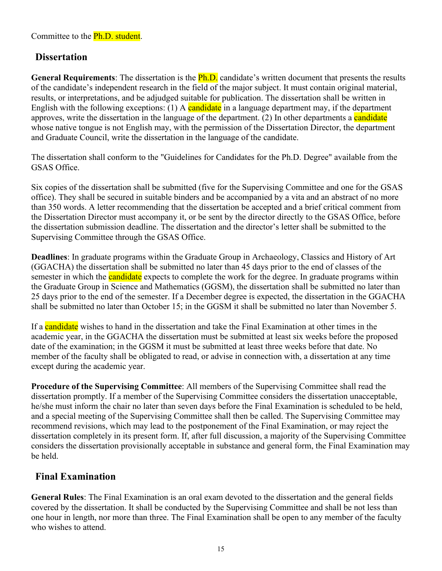## <span id="page-14-0"></span>**Dissertation**

**General Requirements**: The dissertation is the Ph.D. candidate's written document that presents the results of the candidate's independent research in the field of the major subject. It must contain original material, results, or interpretations, and be adjudged suitable for publication. The dissertation shall be written in English with the following exceptions: (1) A candidate in a language department may, if the department approves, write the dissertation in the language of the department. (2) In other departments a candidate whose native tongue is not English may, with the permission of the Dissertation Director, the department and Graduate Council, write the dissertation in the language of the candidate.

The dissertation shall conform to the "Guidelines for Candidates for the Ph.D. Degree" available from the GSAS Office.

Six copies of the dissertation shall be submitted (five for the Supervising Committee and one for the GSAS office). They shall be secured in suitable binders and be accompanied by a vita and an abstract of no more than 350 words. A letter recommending that the dissertation be accepted and a brief critical comment from the Dissertation Director must accompany it, or be sent by the director directly to the GSAS Office, before the dissertation submission deadline. The dissertation and the director's letter shall be submitted to the Supervising Committee through the GSAS Office.

**Deadlines**: In graduate programs within the Graduate Group in Archaeology, Classics and History of Art (GGACHA) the dissertation shall be submitted no later than 45 days prior to the end of classes of the semester in which the **candidate** expects to complete the work for the degree. In graduate programs within the Graduate Group in Science and Mathematics (GGSM), the dissertation shall be submitted no later than 25 days prior to the end of the semester. If a December degree is expected, the dissertation in the GGACHA shall be submitted no later than October 15; in the GGSM it shall be submitted no later than November 5.

If a candidate wishes to hand in the dissertation and take the Final Examination at other times in the academic year, in the GGACHA the dissertation must be submitted at least six weeks before the proposed date of the examination; in the GGSM it must be submitted at least three weeks before that date. No member of the faculty shall be obligated to read, or advise in connection with, a dissertation at any time except during the academic year.

**Procedure of the Supervising Committee**: All members of the Supervising Committee shall read the dissertation promptly. If a member of the Supervising Committee considers the dissertation unacceptable, he/she must inform the chair no later than seven days before the Final Examination is scheduled to be held, and a special meeting of the Supervising Committee shall then be called. The Supervising Committee may recommend revisions, which may lead to the postponement of the Final Examination, or may reject the dissertation completely in its present form. If, after full discussion, a majority of the Supervising Committee considers the dissertation provisionally acceptable in substance and general form, the Final Examination may be held.

## <span id="page-14-1"></span>**Final Examination**

**General Rules**: The Final Examination is an oral exam devoted to the dissertation and the general fields covered by the dissertation. It shall be conducted by the Supervising Committee and shall be not less than one hour in length, nor more than three. The Final Examination shall be open to any member of the faculty who wishes to attend.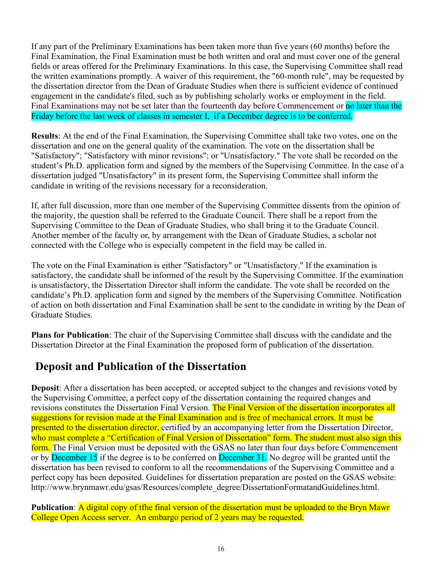If any part of the Preliminary Examinations has been taken more than five years (60 months) before the Final Examination, the Final Examination must be both written and oral and must cover one of the general fields or areas offered for the Preliminary Examinations. In this case, the Supervising Committee shall read the written examinations promptly. A waiver of this requirement, the "60-month rule", may be requested by the dissertation director from the Dean of Graduate Studies when there is sufficient evidence of continued engagement in the candidate's filed, such as by publishing scholarly works or employment in the field. Final Examinations may not be set later than the fourteenth day before Commencement or no later than the Friday before the last week of classes in semester I, if a December degree is to be conferred.

**Results**: At the end of the Final Examination, the Supervising Committee shall take two votes, one on the dissertation and one on the general quality of the examination. The vote on the dissertation shall be "Satisfactory"; "Satisfactory with minor revisions"; or "Unsatisfactory." The vote shall be recorded on the student's Ph.D. application form and signed by the members of the Supervising Committee. In the case of a dissertation judged "Unsatisfactory" in its present form, the Supervising Committee shall inform the candidate in writing of the revisions necessary for a reconsideration.

If, after full discussion, more than one member of the Supervising Committee dissents from the opinion of the majority, the question shall be referred to the Graduate Council. There shall be a report from the Supervising Committee to the Dean of Graduate Studies, who shall bring it to the Graduate Council. Another member of the faculty or, by arrangement with the Dean of Graduate Studies, a scholar not connected with the College who is especially competent in the field may be called in.

The vote on the Final Examination is either "Satisfactory" or "Unsatisfactory." If the examination is satisfactory, the candidate shall be informed of the result by the Supervising Committee. If the examination is unsatisfactory, the Dissertation Director shall inform the candidate. The vote shall be recorded on the candidate's Ph.D. application form and signed by the members of the Supervising Committee. Notification of action on both dissertation and Final Examination shall be sent to the candidate in writing by the Dean of Graduate Studies.

**Plans for Publication**: The chair of the Supervising Committee shall discuss with the candidate and the Dissertation Director at the Final Examination the proposed form of publication of the dissertation.

## <span id="page-15-0"></span>**Deposit and Publication of the Dissertation**

**Deposit**: After a dissertation has been accepted, or accepted subject to the changes and revisions voted by the Supervising Committee, a perfect copy of the dissertation containing the required changes and revisions constitutes the Dissertation Final Version. The Final Version of the dissertation incorporates all suggestions for revision made at the Final Examination and is free of mechanical errors. It must be presented to the dissertation director, certified by an accompanying letter from the Dissertation Director, who must complete a "Certification of Final Version of Dissertation" form. The student must also sign this form. The Final Version must be deposited with the GSAS no later than four days before Commencement or by December 15 if the degree is to be conferred on December 31. No degree will be granted until the dissertation has been revised to conform to all the recommendations of the Supervising Committee and a perfect copy has been deposited. Guidelines for dissertation preparation are posted on the GSAS website: [http://www.brynmawr.edu/gsas/Resources/complete\\_degree/DissertationFormatandGuidelines.html.](http://www.brynmawr.edu/gsas/Resources/complete_degree/DissertationFormatandGuidelines.html)

**Publication**: A digital copy of tfhe final version of the dissertation must be uploaded to the Bryn Mawr College Open Access server. An embargo period of 2 years may be requested.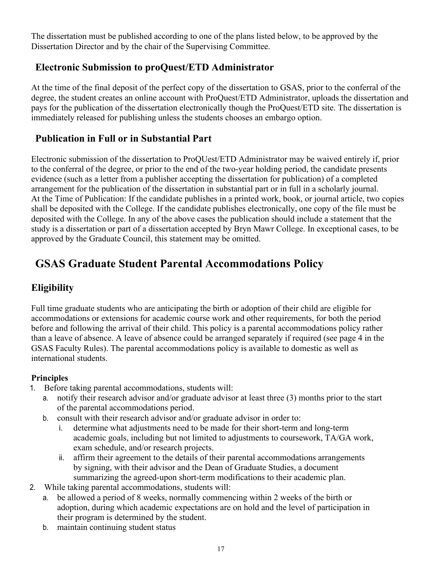The dissertation must be published according to one of the plans listed below, to be approved by the Dissertation Director and by the chair of the Supervising Committee.

## <span id="page-16-0"></span>**Electronic Submission to proQuest/ETD Administrator**

At the time of the final deposit of the perfect copy of the dissertation to GSAS, prior to the conferral of the degree, the student creates an online account with ProQuest/ETD Administrator, uploads the dissertation and pays for the publication of the dissertation electronically though the ProQuest/ETD site. The dissertation is immediately released for publishing unless the students chooses an embargo option.

## <span id="page-16-1"></span>**Publication in Full or in Substantial Part**

Electronic submission of the dissertation to ProQUest/ETD Administrator may be waived entirely if, prior to the conferral of the degree, or prior to the end of the two-year holding period, the candidate presents evidence (such as a letter from a publisher accepting the dissertation for publication) of a completed arrangement for the publication of the dissertation in substantial part or in full in a scholarly journal. At the Time of Publication: If the candidate publishes in a printed work, book, or journal article, two copies shall be deposited with the College. If the candidate publishes electronically, one copy of the file must be deposited with the College. In any of the above cases the publication should include a statement that the study is a dissertation or part of a dissertation accepted by Bryn Mawr College. In exceptional cases, to be approved by the Graduate Council, this statement may be omitted.

# <span id="page-16-2"></span>**GSAS Graduate Student Parental Accommodations Policy**

## **Eligibility**

Full time graduate students who are anticipating the birth or adoption of their child are eligible for accommodations or extensions for academic course work and other requirements, for both the period before and following the arrival of their child. This policy is a parental accommodations policy rather than a leave of absence. A leave of absence could be arranged separately if required (see page 4 in the GSAS Faculty Rules). The parental accommodations policy is available to domestic as well as international students.

#### **Principles**

- 1. Before taking parental accommodations, students will:
	- a. notify their research advisor and/or graduate advisor at least three (3) months prior to the start of the parental accommodations period.
	- b. consult with their research advisor and/or graduate advisor in order to:
		- i. determine what adjustments need to be made for their short-term and long-term academic goals, including but not limited to adjustments to coursework, TA/GA work, exam schedule, and/or research projects.
		- ii. affirm their agreement to the details of their parental accommodations arrangements by signing, with their advisor and the Dean of Graduate Studies, a document summarizing the agreed-upon short-term modifications to their academic plan.
- 2. While taking parental accommodations, students will:
	- a. be allowed a period of 8 weeks, normally commencing within 2 weeks of the birth or adoption, during which academic expectations are on hold and the level of participation in their program is determined by the student.
	- b. maintain continuing student status